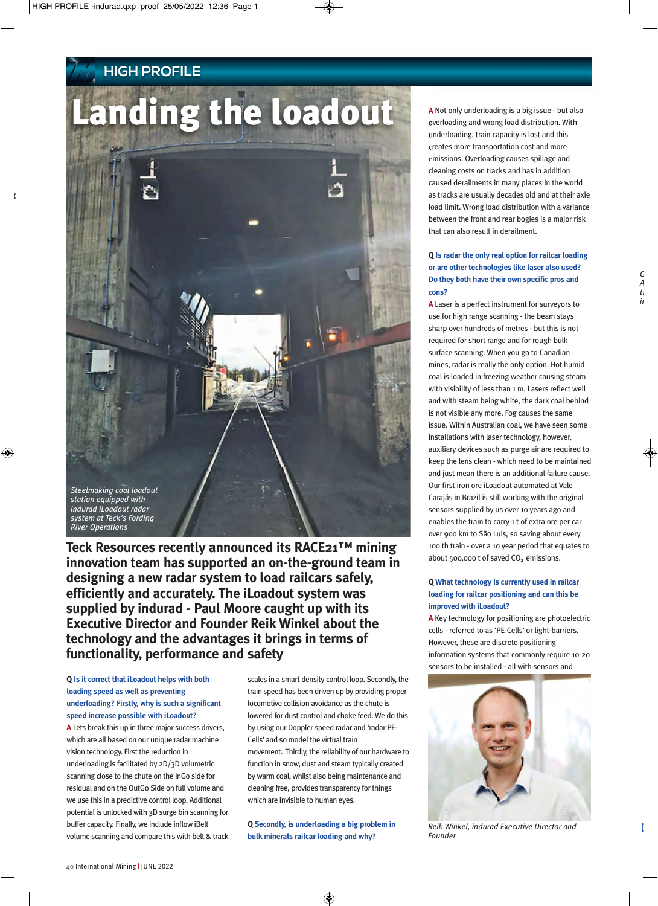## **HIGH PROFILE**

# Landing the loadout



**Teck Resources recently announced its RACE21™ mining innovation team has supported an on-the-ground team in designing a new radar system to load railcars safely, efficiently and accurately. The iLoadout system was supplied by indurad - Paul Moore caught up with its Executive Director and Founder Reik Winkel about the technology and the advantages it brings in terms of functionality, performance and safety**

## **Q Is it correct that iLoadout helps with both loading speed as well as preventing underloading? Firstly, why is such a significant speed increase possible with iLoadout?**

**A** Lets break this up in three major success drivers, which are all based on our unique radar machine vision technology. First the reduction in underloading is facilitated by 2D/3D volumetric scanning close to the chute on the InGo side for residual and on the OutGo Side on full volume and we use this in a predictive control loop. Additional potential is unlocked with 3D surge bin scanning for buffer capacity. Finally, we include inflow iBelt volume scanning and compare this with belt & track scales in a smart density control loop. Secondly, the train speed has been driven up by providing proper locomotive collision avoidance as the chute is lowered for dust control and choke feed. We do this by using our Doppler speed radar and 'radar PE-Cells' and so model the virtual train movement. Thirdly, the reliability of our hardware to function in snow, dust and steam typically created by warm coal, whilst also being maintenance and cleaning free, provides transparency for things which are invisible to human eyes.

**Q Secondly, is underloading a big problem in bulk minerals railcar loading and why?** 

**A** Not only underloading is a big issue - but also overloading and wrong load distribution. With underloading, train capacity is lost and this creates more transportation cost and more emissions. Overloading causes spillage and cleaning costs on tracks and has in addition caused derailments in many places in the world as tracks are usually decades old and at their axle load limit. Wrong load distribution with a variance between the front and rear bogies is a major risk that can also result in derailment.

## **Q Is radar the only real option for railcar loading or are other technologies like laser also used? Do they both have their own specific pros and cons?**

**A** Laser is a perfect instrument for surveyors to use for high range scanning - the beam stays sharp over hundreds of metres - but this is not required for short range and for rough bulk surface scanning. When you go to Canadian mines, radar is really the only option. Hot humid coal is loaded in freezing weather causing steam with visibility of less than 1 m. Lasers reflect well and with steam being white, the dark coal behind is not visible any more. Fog causes the same issue. Within Australian coal, we have seen some installations with laser technology, however, auxiliary devices such as purge air are required to keep the lens clean - which need to be maintained and just mean there is an additional failure cause. Our first iron ore iLoadout automated at Vale Carajás in Brazil is still working with the original sensors supplied by us over 10 years ago and enables the train to carry 1 t of extra ore per car over 900 km to São Luis, so saving about every 100 th train - over a 10 year period that equates to about 500,000 t of saved  $CO<sub>2</sub>$  emissions.

## **Q What technology is currently used in railcar loading for railcar positioning and can this be improved with iLoadout?**

**A** Key technology for positioning are photoelectric cells - referred to as 'PE-Cells' or light-barriers. However, these are discrete positioning information systems that commonly require 10-20 sensors to be installed - all with sensors and



*Reik Winkel, indurad Executive Director and Founder*